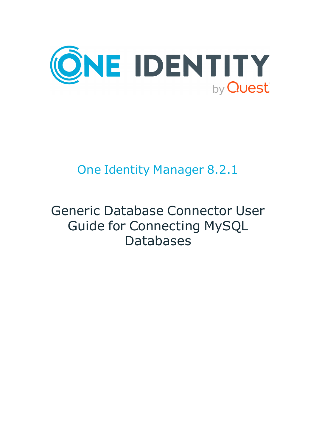

# One Identity Manager 8.2.1

# Generic Database Connector User Guide for Connecting MySQL Databases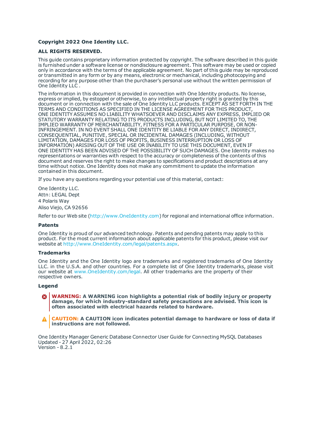#### **Copyright 2022 One Identity LLC.**

#### **ALL RIGHTS RESERVED.**

This guide contains proprietary information protected by copyright. The software described in this guide is furnished under a software license or nondisclosure agreement. This software may be used or copied only in accordance with the terms of the applicable agreement. No part of this guide may be reproduced or transmitted in any form or by any means, electronic or mechanical, including photocopying and recording for any purpose other than the purchaser's personal use without the written permission of One Identity LLC .

The information in this document is provided in connection with One Identity products. No license, express or implied, by estoppel or otherwise, to any intellectual property right is granted by this document or in connection with the sale of One Identity LLC products. EXCEPT AS SET FORTH IN THE TERMS AND CONDITIONS AS SPECIFIED IN THE LICENSE AGREEMENT FOR THIS PRODUCT, ONE IDENTITY ASSUMES NO LIABILITY WHATSOEVER AND DISCLAIMS ANY EXPRESS, IMPLIED OR STATUTORY WARRANTY RELATING TO ITS PRODUCTS INCLUDING, BUT NOT LIMITED TO, THE IMPLIED WARRANTY OF MERCHANTABILITY, FITNESS FOR A PARTICULAR PURPOSE, OR NON-INFRINGEMENT. IN NO EVENT SHALL ONE IDENTITY BE LIABLE FOR ANY DIRECT, INDIRECT, CONSEQUENTIAL, PUNITIVE, SPECIAL OR INCIDENTAL DAMAGES (INCLUDING, WITHOUT LIMITATION, DAMAGES FOR LOSS OF PROFITS, BUSINESS INTERRUPTION OR LOSS OF INFORMATION) ARISING OUT OF THE USE OR INABILITY TO USE THIS DOCUMENT, EVEN IF ONE IDENTITY HAS BEEN ADVISED OF THE POSSIBILITY OF SUCH DAMAGES. One Identity makes no representations or warranties with respect to the accuracy or completeness of the contents of this document and reserves the right to make changes to specifications and product descriptions at any time without notice. One Identity does not make any commitment to update the information contained in this document.

If you have any questions regarding your potential use of this material, contact:

One Identity LLC. Attn: LEGAL Dept 4 Polaris Way Aliso Viejo, CA 92656

Refer to our Web site ([http://www.OneIdentity.com](http://www.oneidentity.com/)) for regional and international office information.

#### **Patents**

One Identity is proud of our advanced technology. Patents and pending patents may apply to this product. For the most current information about applicable patents for this product, please visit our website at [http://www.OneIdentity.com/legal/patents.aspx](http://www.oneidentity.com/legal/patents.aspx).

#### **Trademarks**

One Identity and the One Identity logo are trademarks and registered trademarks of One Identity LLC. in the U.S.A. and other countries. For a complete list of One Identity trademarks, please visit our website at [www.OneIdentity.com/legal](http://www.oneidentity.com/legal). All other trademarks are the property of their respective owners.

#### **Legend**

- **WARNING: A WARNING icon highlights a potential risk of bodily injury or property damage, for which industry-standard safety precautions are advised. This icon is often associated with electrical hazards related to hardware.**
- **CAUTION: A CAUTION icon indicates potential damage to hardware or loss of data if** A **instructions are not followed.**

One Identity Manager Generic Database Connector User Guide for Connecting MySQL Databases Updated - 27 April 2022, 02:26 Version - 8.2.1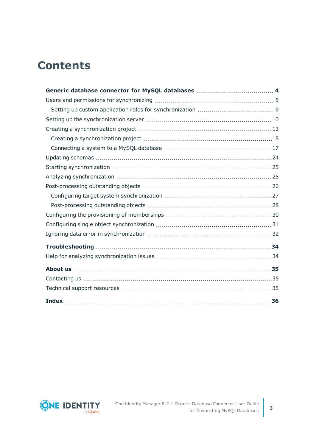## **Contents**

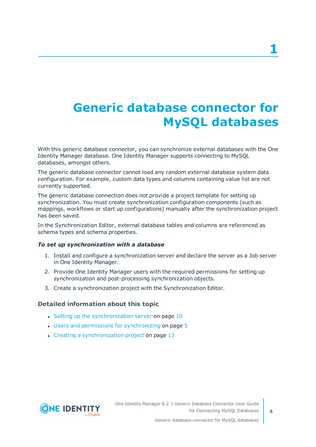# <span id="page-3-0"></span>**Generic database connector for MySQL databases**

With this generic database connector, you can synchronize external databases with the One Identity Manager database. One Identity Manager supports connecting to MySQL databases, amongst others.

The generic database connector cannot load any random external database system data configuration. For example, custom data types and columns containing value list are not currently supported.

The generic database connection does not provide a project template for setting up synchronization. You must create synchronization configuration components (such as mappings, workflows or start up configurations) manually after the synchronization project has been saved.

In the Synchronization Editor, external database tables and columns are referenced as schema types and schema properties.

#### *To set up synchronization with a database*

- 1. Install and configure a synchronization server and declare the server as a Job server in One Identity Manager.
- 2. Provide One Identity Manager users with the required permissions for setting up synchronization and post-processing synchronization objects.
- 3. Create a synchronization project with the Synchronization Editor.

#### **Detailed information about this topic**

- Setting up the [synchronization](#page-9-0) server on page  $10$
- $\cdot$  Users and permissions for [synchronizing](#page-4-0) on page  $5$
- $\cdot$  Creating a [synchronization](#page-12-0) project on page 13

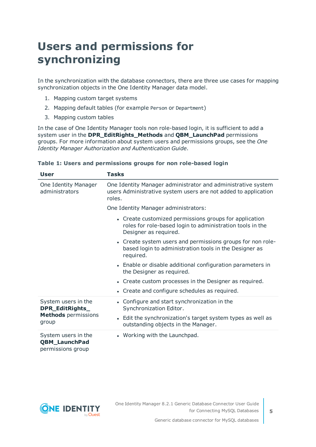## <span id="page-4-0"></span>**Users and permissions for synchronizing**

In the synchronization with the database connectors, there are three use cases for mapping synchronization objects in the One Identity Manager data model.

- 1. Mapping custom target systems
- 2. Mapping default tables (for example Person or Department)
- 3. Mapping custom tables

In the case of One Identity Manager tools non role-based login, it is sufficient to add a system user in the **DPR\_EditRights\_Methods** and **QBM\_LaunchPad** permissions groups. For more information about system users and permissions groups, see the *One Identity Manager Authorization and Authentication Guide*.

| User                                                             | Tasks                                                                                                                                        |  |  |
|------------------------------------------------------------------|----------------------------------------------------------------------------------------------------------------------------------------------|--|--|
| One Identity Manager<br>administrators                           | One Identity Manager administrator and administrative system<br>users Administrative system users are not added to application<br>roles.     |  |  |
|                                                                  | One Identity Manager administrators:                                                                                                         |  |  |
|                                                                  | • Create customized permissions groups for application<br>roles for role-based login to administration tools in the<br>Designer as required. |  |  |
|                                                                  | • Create system users and permissions groups for non role-<br>based login to administration tools in the Designer as<br>required.            |  |  |
|                                                                  | • Enable or disable additional configuration parameters in<br>the Designer as required.                                                      |  |  |
|                                                                  | • Create custom processes in the Designer as required.                                                                                       |  |  |
|                                                                  | • Create and configure schedules as required.                                                                                                |  |  |
| System users in the<br>DPR_EditRights_                           | • Configure and start synchronization in the<br>Synchronization Editor.                                                                      |  |  |
| <b>Methods</b> permissions<br>group                              | • Edit the synchronization's target system types as well as<br>outstanding objects in the Manager.                                           |  |  |
| System users in the<br><b>QBM_LaunchPad</b><br>permissions group | • Working with the Launchpad.                                                                                                                |  |  |

#### **Table 1: Users and permissions groups for non role-based login**

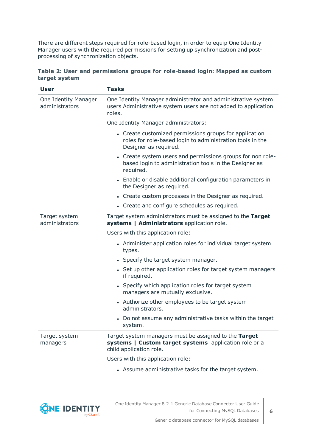There are different steps required for role-based login, in order to equip One Identity Manager users with the required permissions for setting up synchronization and postprocessing of synchronization objects.

|               | Table 2: User and permissions groups for role-based login: Mapped as custom |  |  |  |
|---------------|-----------------------------------------------------------------------------|--|--|--|
| target system |                                                                             |  |  |  |

| <b>User</b>                            | <b>Tasks</b>                                                                                                                                 |
|----------------------------------------|----------------------------------------------------------------------------------------------------------------------------------------------|
| One Identity Manager<br>administrators | One Identity Manager administrator and administrative system<br>users Administrative system users are not added to application<br>roles.     |
|                                        | One Identity Manager administrators:                                                                                                         |
|                                        | • Create customized permissions groups for application<br>roles for role-based login to administration tools in the<br>Designer as required. |
|                                        | • Create system users and permissions groups for non role-<br>based login to administration tools in the Designer as<br>required.            |
|                                        | • Enable or disable additional configuration parameters in<br>the Designer as required.                                                      |
|                                        | • Create custom processes in the Designer as required.                                                                                       |
|                                        | • Create and configure schedules as required.                                                                                                |
| Target system<br>administrators        | Target system administrators must be assigned to the Target<br>systems   Administrators application role.                                    |
|                                        | Users with this application role:                                                                                                            |
|                                        | • Administer application roles for individual target system<br>types.                                                                        |
|                                        | • Specify the target system manager.                                                                                                         |
|                                        | • Set up other application roles for target system managers<br>if required.                                                                  |
|                                        | • Specify which application roles for target system<br>managers are mutually exclusive.                                                      |
|                                        | • Authorize other employees to be target system<br>administrators.                                                                           |
|                                        | • Do not assume any administrative tasks within the target<br>system.                                                                        |
| Target system<br>managers              | Target system managers must be assigned to the Target<br>systems   Custom target systems application role or a<br>child application role.    |
|                                        | Users with this application role:                                                                                                            |
|                                        | • Assume administrative tasks for the target system.                                                                                         |

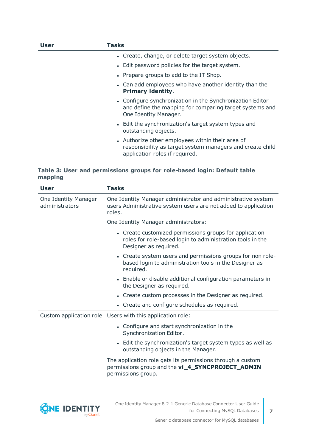| User | Tasks                                                                                                                                           |
|------|-------------------------------------------------------------------------------------------------------------------------------------------------|
|      | • Create, change, or delete target system objects.                                                                                              |
|      | • Edit password policies for the target system.                                                                                                 |
|      | • Prepare groups to add to the IT Shop.                                                                                                         |
|      | • Can add employees who have another identity than the<br><b>Primary identity.</b>                                                              |
|      | • Configure synchronization in the Synchronization Editor<br>and define the mapping for comparing target systems and<br>One Identity Manager.   |
|      | • Edit the synchronization's target system types and<br>outstanding objects.                                                                    |
|      | • Authorize other employees within their area of<br>responsibility as target system managers and create child<br>application roles if required. |

#### **Table 3: User and permissions groups for role-based login: Default table mapping**

| <b>User</b>                            | <b>Tasks</b>                                                                                                                                 |
|----------------------------------------|----------------------------------------------------------------------------------------------------------------------------------------------|
| One Identity Manager<br>administrators | One Identity Manager administrator and administrative system<br>users Administrative system users are not added to application<br>roles.     |
|                                        | One Identity Manager administrators:                                                                                                         |
|                                        | • Create customized permissions groups for application<br>roles for role-based login to administration tools in the<br>Designer as required. |
|                                        | • Create system users and permissions groups for non role-<br>based login to administration tools in the Designer as<br>required.            |
|                                        | • Enable or disable additional configuration parameters in<br>the Designer as required.                                                      |
|                                        | • Create custom processes in the Designer as required.                                                                                       |
|                                        | • Create and configure schedules as required.                                                                                                |
|                                        | Custom application role Users with this application role:                                                                                    |
|                                        | • Configure and start synchronization in the<br>Synchronization Editor.                                                                      |
|                                        | • Edit the synchronization's target system types as well as<br>outstanding objects in the Manager.                                           |
|                                        | The application role gets its permissions through a custom<br>permissions group and the vi_4_SYNCPROJECT_ADMIN<br>permissions group.         |
|                                        |                                                                                                                                              |

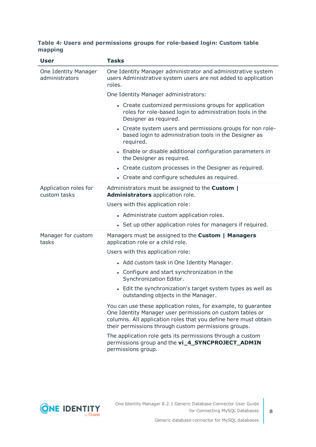#### **Table 4: Users and permissions groups for role-based login: Custom table mapping**

| <b>User</b>                            | <b>Tasks</b>                                                                                                                                                                                                                                           |
|----------------------------------------|--------------------------------------------------------------------------------------------------------------------------------------------------------------------------------------------------------------------------------------------------------|
| One Identity Manager<br>administrators | One Identity Manager administrator and administrative system<br>users Administrative system users are not added to application<br>roles.                                                                                                               |
|                                        | One Identity Manager administrators:                                                                                                                                                                                                                   |
|                                        | • Create customized permissions groups for application<br>roles for role-based login to administration tools in the<br>Designer as required.                                                                                                           |
|                                        | • Create system users and permissions groups for non role-<br>based login to administration tools in the Designer as<br>required.                                                                                                                      |
|                                        | • Enable or disable additional configuration parameters in<br>the Designer as required.                                                                                                                                                                |
|                                        | • Create custom processes in the Designer as required.                                                                                                                                                                                                 |
|                                        | • Create and configure schedules as required.                                                                                                                                                                                                          |
| Application roles for<br>custom tasks  | Administrators must be assigned to the <b>Custom</b>  <br>Administrators application role.                                                                                                                                                             |
|                                        | Users with this application role:                                                                                                                                                                                                                      |
|                                        | • Administrate custom application roles.                                                                                                                                                                                                               |
|                                        | • Set up other application roles for managers if required.                                                                                                                                                                                             |
| Manager for custom<br>tasks            | Managers must be assigned to the Custom   Managers<br>application role or a child role.                                                                                                                                                                |
|                                        | Users with this application role:                                                                                                                                                                                                                      |
|                                        | • Add custom task in One Identity Manager.                                                                                                                                                                                                             |
|                                        | • Configure and start synchronization in the<br>Synchronization Editor.                                                                                                                                                                                |
|                                        | • Edit the synchronization's target system types as well as<br>outstanding objects in the Manager.                                                                                                                                                     |
|                                        | You can use these application roles, for example, to guarantee<br>One Identity Manager user permissions on custom tables or<br>columns. All application roles that you define here must obtain<br>their permissions through custom permissions groups. |
|                                        | The application role gets its permissions through a custom<br>permissions group and the vi_4_SYNCPROJECT_ADMIN<br>permissions group.                                                                                                                   |

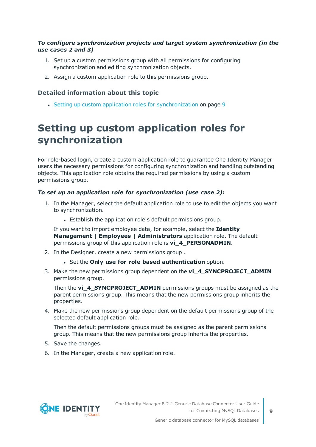#### *To configure synchronization projects and target system synchronization (in the use cases 2 and 3)*

- 1. Set up a custom permissions group with all permissions for configuring synchronization and editing synchronization objects.
- 2. Assign a custom application role to this permissions group.

#### **Detailed information about this topic**

• Setting up custom application roles for [synchronization](#page-8-0) on page 9

### <span id="page-8-0"></span>**Setting up custom application roles for synchronization**

For role-based login, create a custom application role to guarantee One Identity Manager users the necessary permissions for configuring synchronization and handling outstanding objects. This application role obtains the required permissions by using a custom permissions group.

#### *To set up an application role for synchronization (use case 2):*

- 1. In the Manager, select the default application role to use to edit the objects you want to synchronization.
	- Establish the application role's default permissions group.

If you want to import employee data, for example, select the **Identity Management | Employees | Administrators** application role. The default permissions group of this application role is **vi\_4\_PERSONADMIN**.

- 2. In the Designer, create a new permissions group .
	- <sup>l</sup> Set the **Only use for role based authentication** option.
- 3. Make the new permissions group dependent on the **vi\_4\_SYNCPROJECT\_ADMIN** permissions group.

Then the **vi\_4\_SYNCPROJECT\_ADMIN** permissions groups must be assigned as the parent permissions group. This means that the new permissions group inherits the properties.

4. Make the new permissions group dependent on the default permissions group of the selected default application role.

Then the default permissions groups must be assigned as the parent permissions group. This means that the new permissions group inherits the properties.

- 5. Save the changes.
- 6. In the Manager, create a new application role.

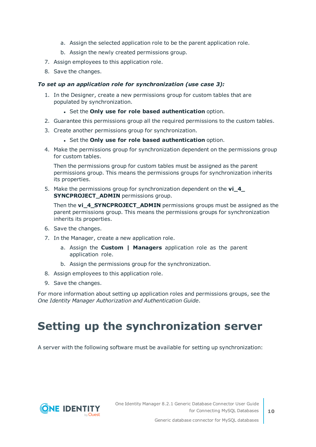- a. Assign the selected application role to be the parent application role.
- b. Assign the newly created permissions group.
- 7. Assign employees to this application role.
- 8. Save the changes.

#### *To set up an application role for synchronization (use case 3):*

- 1. In the Designer, create a new permissions group for custom tables that are populated by synchronization.
	- <sup>l</sup> Set the **Only use for role based authentication** option.
- 2. Guarantee this permissions group all the required permissions to the custom tables.
- 3. Create another permissions group for synchronization.
	- <sup>l</sup> Set the **Only use for role based authentication** option.
- 4. Make the permissions group for synchronization dependent on the permissions group for custom tables.

Then the permissions group for custom tables must be assigned as the parent permissions group. This means the permissions groups for synchronization inherits its properties.

5. Make the permissions group for synchronization dependent on the **vi\_4\_ SYNCPROJECT\_ADMIN** permissions group.

Then the **vi\_4\_SYNCPROJECT\_ADMIN** permissions groups must be assigned as the parent permissions group. This means the permissions groups for synchronization inherits its properties.

- 6. Save the changes.
- 7. In the Manager, create a new application role.
	- a. Assign the **Custom | Managers** application role as the parent application role.
	- b. Assign the permissions group for the synchronization.
- 8. Assign employees to this application role.
- 9. Save the changes.

For more information about setting up application roles and permissions groups, see the *One Identity Manager Authorization and Authentication Guide*.

## <span id="page-9-0"></span>**Setting up the synchronization server**

A server with the following software must be available for setting up synchronization:

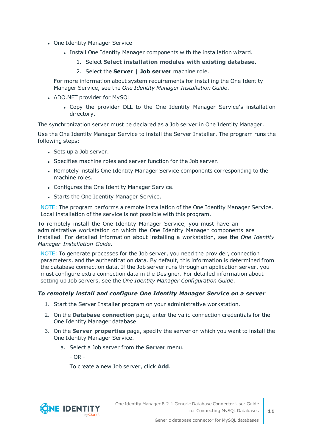- One Identity Manager Service
	- Install One Identity Manager components with the installation wizard.
		- 1. Select **Select installation modules with existing database**.
		- 2. Select the **Server | Job server** machine role.

For more information about system requirements for installing the One Identity Manager Service, see the *One Identity Manager Installation Guide*.

- ADO.NET provider for MySQL
	- Copy the provider DLL to the One Identity Manager Service's installation directory.

The synchronization server must be declared as a Job server in One Identity Manager.

Use the One Identity Manager Service to install the Server Installer. The program runs the following steps:

- Sets up a Job server.
- Specifies machine roles and server function for the Job server.
- Remotely installs One Identity Manager Service components corresponding to the machine roles.
- Configures the One Identity Manager Service.
- Starts the One Identity Manager Service.

NOTE: The program performs a remote installation of the One Identity Manager Service. Local installation of the service is not possible with this program.

To remotely install the One Identity Manager Service, you must have an administrative workstation on which the One Identity Manager components are installed. For detailed information about installing a workstation, see the *One Identity Manager Installation Guide*.

NOTE: To generate processes for the Job server, you need the provider, connection parameters, and the authentication data. By default, this information is determined from the database connection data. If the Job server runs through an application server, you must configure extra connection data in the Designer. For detailed information about setting up Job servers, see the *One Identity Manager Configuration Guide*.

#### *To remotely install and configure One Identity Manager Service on a server*

- 1. Start the Server Installer program on your administrative workstation.
- 2. On the **Database connection** page, enter the valid connection credentials for the One Identity Manager database.
- 3. On the **Server properties** page, specify the server on which you want to install the One Identity Manager Service.
	- a. Select a Job server from the **Server** menu.
		- OR -

To create a new Job server, click **Add**.

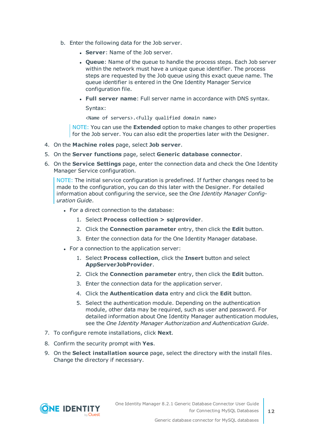- b. Enter the following data for the Job server.
	- **Server:** Name of the Job server.
	- <sup>l</sup> **Queue**: Name of the queue to handle the process steps. Each Job server within the network must have a unique queue identifier. The process steps are requested by the Job queue using this exact queue name. The queue identifier is entered in the One Identity Manager Service configuration file.
	- <sup>l</sup> **Full server name**: Full server name in accordance with DNS syntax.

Syntax:

<Name of servers>.<Fully qualified domain name>

NOTE: You can use the **Extended** option to make changes to other properties for the Job server. You can also edit the properties later with the Designer.

- 4. On the **Machine roles** page, select **Job server**.
- 5. On the **Server functions** page, select **Generic database connector**.
- 6. On the **Service Settings** page, enter the connection data and check the One Identity Manager Service configuration.

NOTE: The initial service configuration is predefined. If further changes need to be made to the configuration, you can do this later with the Designer. For detailed information about configuring the service, see the *One Identity Manager Configuration Guide*.

- For a direct connection to the database:
	- 1. Select **Process collection > sqlprovider**.
	- 2. Click the **Connection parameter** entry, then click the **Edit** button.
	- 3. Enter the connection data for the One Identity Manager database.
- For a connection to the application server:
	- 1. Select **Process collection**, click the **Insert** button and select **AppServerJobProvider**.
	- 2. Click the **Connection parameter** entry, then click the **Edit** button.
	- 3. Enter the connection data for the application server.
	- 4. Click the **Authentication data** entry and click the **Edit** button.
	- 5. Select the authentication module. Depending on the authentication module, other data may be required, such as user and password. For detailed information about One Identity Manager authentication modules, see the *One Identity Manager Authorization and Authentication Guide*.
- 7. To configure remote installations, click **Next**.
- 8. Confirm the security prompt with **Yes**.
- 9. On the **Select installation source** page, select the directory with the install files. Change the directory if necessary.

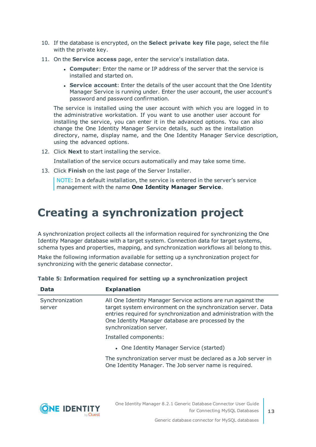- 10. If the database is encrypted, on the **Select private key file** page, select the file with the private key.
- 11. On the **Service access** page, enter the service's installation data.
	- **Computer:** Enter the name or IP address of the server that the service is installed and started on.
	- <sup>l</sup> **Service account**: Enter the details of the user account that the One Identity Manager Service is running under. Enter the user account, the user account's password and password confirmation.

The service is installed using the user account with which you are logged in to the administrative workstation. If you want to use another user account for installing the service, you can enter it in the advanced options. You can also change the One Identity Manager Service details, such as the installation directory, name, display name, and the One Identity Manager Service description, using the advanced options.

12. Click **Next** to start installing the service.

Installation of the service occurs automatically and may take some time.

13. Click **Finish** on the last page of the Server Installer.

NOTE: In a default installation, the service is entered in the server's service management with the name **One Identity Manager Service**.

## <span id="page-12-0"></span>**Creating a synchronization project**

A synchronization project collects all the information required for synchronizing the One Identity Manager database with a target system. Connection data for target systems, schema types and properties, mapping, and synchronization workflows all belong to this.

Make the following information available for setting up a synchronization project for synchronizing with the generic database connector.

| <b>Data</b>               | <b>Explanation</b>                                                                                                                                                                                                                                                                 |
|---------------------------|------------------------------------------------------------------------------------------------------------------------------------------------------------------------------------------------------------------------------------------------------------------------------------|
| Synchronization<br>server | All One Identity Manager Service actions are run against the<br>target system environment on the synchronization server. Data<br>entries required for synchronization and administration with the<br>One Identity Manager database are processed by the<br>synchronization server. |
|                           | Installed components:                                                                                                                                                                                                                                                              |
|                           | • One Identity Manager Service (started)                                                                                                                                                                                                                                           |
|                           | The synchronization server must be declared as a Job server in<br>One Identity Manager. The Job server name is required.                                                                                                                                                           |

**Table 5: Information required for setting up a synchronization project**

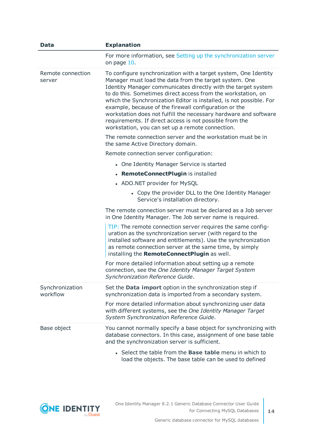| Data                        | <b>Explanation</b>                                                                                                                                                                                                                                                                                                                                                                                                                                                                                                                                                            |
|-----------------------------|-------------------------------------------------------------------------------------------------------------------------------------------------------------------------------------------------------------------------------------------------------------------------------------------------------------------------------------------------------------------------------------------------------------------------------------------------------------------------------------------------------------------------------------------------------------------------------|
|                             | For more information, see Setting up the synchronization server<br>on page 10.                                                                                                                                                                                                                                                                                                                                                                                                                                                                                                |
| Remote connection<br>server | To configure synchronization with a target system, One Identity<br>Manager must load the data from the target system. One<br>Identity Manager communicates directly with the target system<br>to do this. Sometimes direct access from the workstation, on<br>which the Synchronization Editor is installed, is not possible. For<br>example, because of the firewall configuration or the<br>workstation does not fulfill the necessary hardware and software<br>requirements. If direct access is not possible from the<br>workstation, you can set up a remote connection. |
|                             | The remote connection server and the workstation must be in<br>the same Active Directory domain.                                                                                                                                                                                                                                                                                                                                                                                                                                                                              |
|                             | Remote connection server configuration:                                                                                                                                                                                                                                                                                                                                                                                                                                                                                                                                       |
|                             | • One Identity Manager Service is started                                                                                                                                                                                                                                                                                                                                                                                                                                                                                                                                     |
|                             | • RemoteConnectPlugin is installed                                                                                                                                                                                                                                                                                                                                                                                                                                                                                                                                            |
|                             | • ADO.NET provider for MySQL                                                                                                                                                                                                                                                                                                                                                                                                                                                                                                                                                  |
|                             | • Copy the provider DLL to the One Identity Manager<br>Service's installation directory.                                                                                                                                                                                                                                                                                                                                                                                                                                                                                      |
|                             | The remote connection server must be declared as a Job server<br>in One Identity Manager. The Job server name is required.                                                                                                                                                                                                                                                                                                                                                                                                                                                    |
|                             | TIP: The remote connection server requires the same config-<br>uration as the synchronization server (with regard to the<br>installed software and entitlements). Use the synchronization<br>as remote connection server at the same time, by simply<br>installing the RemoteConnectPlugin as well.                                                                                                                                                                                                                                                                           |
|                             | For more detailed information about setting up a remote<br>connection, see the One Identity Manager Target System<br>Synchronization Reference Guide.                                                                                                                                                                                                                                                                                                                                                                                                                         |
| Synchronization<br>workflow | Set the <b>Data import</b> option in the synchronization step if<br>synchronization data is imported from a secondary system.                                                                                                                                                                                                                                                                                                                                                                                                                                                 |
|                             | For more detailed information about synchronizing user data<br>with different systems, see the One Identity Manager Target<br>System Synchronization Reference Guide.                                                                                                                                                                                                                                                                                                                                                                                                         |
| Base object                 | You cannot normally specify a base object for synchronizing with<br>database connectors. In this case, assignment of one base table<br>and the synchronization server is sufficient.                                                                                                                                                                                                                                                                                                                                                                                          |
|                             | • Select the table from the <b>Base table</b> menu in which to<br>load the objects. The base table can be used to defined                                                                                                                                                                                                                                                                                                                                                                                                                                                     |

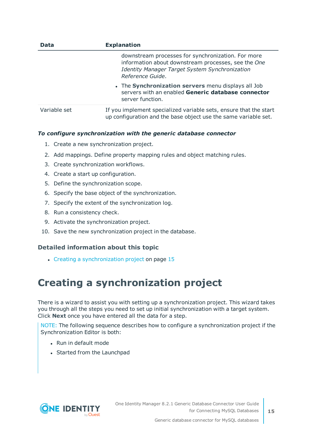| <b>Data</b>  | <b>Explanation</b>                                                                                                                                                              |  |  |
|--------------|---------------------------------------------------------------------------------------------------------------------------------------------------------------------------------|--|--|
|              | downstream processes for synchronization. For more<br>information about downstream processes, see the One<br>Identity Manager Target System Synchronization<br>Reference Guide. |  |  |
|              | • The Synchronization servers menu displays all Job<br>servers with an enabled Generic database connector<br>server function.                                                   |  |  |
| Variable set | If you implement specialized variable sets, ensure that the start<br>up configuration and the base object use the same variable set.                                            |  |  |

#### *To configure synchronization with the generic database connector*

- 1. Create a new synchronization project.
- 2. Add mappings. Define property mapping rules and object matching rules.
- 3. Create synchronization workflows.
- 4. Create a start up configuration.
- 5. Define the synchronization scope.
- 6. Specify the base object of the synchronization.
- 7. Specify the extent of the synchronization log.
- 8. Run a consistency check.
- 9. Activate the synchronization project.
- 10. Save the new synchronization project in the database.

#### **Detailed information about this topic**

• Creating a [synchronization](#page-14-0) project on page 15

### <span id="page-14-0"></span>**Creating a synchronization project**

There is a wizard to assist you with setting up a synchronization project. This wizard takes you through all the steps you need to set up initial synchronization with a target system. Click **Next** once you have entered all the data for a step.

NOTE: The following sequence describes how to configure a synchronization project if the Synchronization Editor is both:

- Run in default mode
- Started from the Launchpad

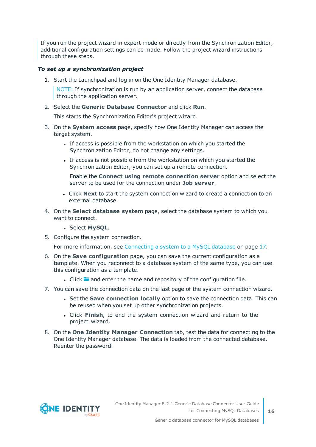If you run the project wizard in expert mode or directly from the Synchronization Editor, additional configuration settings can be made. Follow the project wizard instructions through these steps.

#### *To set up a synchronization project*

1. Start the Launchpad and log in on the One Identity Manager database.

NOTE: If synchronization is run by an application server, connect the database through the application server.

2. Select the **Generic Database Connector** and click **Run**.

This starts the Synchronization Editor's project wizard.

- 3. On the **System access** page, specify how One Identity Manager can access the target system.
	- If access is possible from the workstation on which you started the Synchronization Editor, do not change any settings.
	- If access is not possible from the workstation on which you started the Synchronization Editor, you can set up a remote connection.

Enable the **Connect using remote connection server** option and select the server to be used for the connection under **Job server**.

- <sup>l</sup> Click **Next** to start the system connection wizard to create a connection to an external database.
- 4. On the **Select database system** page, select the database system to which you want to connect.
	- **.** Select **MySQL**.
- 5. Configure the system connection.

For more [information,](#page-16-0) see Connecting a system to a MySQL database on page 17.

- 6. On the **Save configuration** page, you can save the current configuration as a template. When you reconnect to a database system of the same type, you can use this configuration as a template.
	- I Click **a** and enter the name and repository of the configuration file.
- 7. You can save the connection data on the last page of the system connection wizard.
	- **.** Set the **Save connection locally** option to save the connection data. This can be reused when you set up other synchronization projects.
	- <sup>l</sup> Click **Finish**, to end the system connection wizard and return to the project wizard.
- 8. On the **One Identity Manager Connection** tab, test the data for connecting to the One Identity Manager database. The data is loaded from the connected database. Reenter the password.

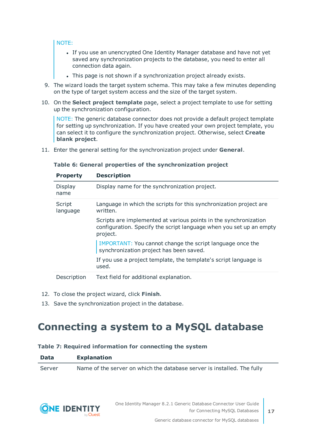#### NOTE:

- If you use an unencrypted One Identity Manager database and have not yet saved any synchronization projects to the database, you need to enter all connection data again.
- . This page is not shown if a synchronization project already exists.
- 9. The wizard loads the target system schema. This may take a few minutes depending on the type of target system access and the size of the target system.
- 10. On the **Select project template** page, select a project template to use for setting up the synchronization configuration.

NOTE: The generic database connector does not provide a default project template for setting up synchronization. If you have created your own project template, you can select it to configure the synchronization project. Otherwise, select **Create blank project**.

11. Enter the general setting for the synchronization project under **General**.

#### **Table 6: General properties of the synchronization project**

| <b>Property</b>    | <b>Description</b>                                                                                                                                  |
|--------------------|-----------------------------------------------------------------------------------------------------------------------------------------------------|
| Display<br>name    | Display name for the synchronization project.                                                                                                       |
| Script<br>language | Language in which the scripts for this synchronization project are<br>written.                                                                      |
|                    | Scripts are implemented at various points in the synchronization<br>configuration. Specify the script language when you set up an empty<br>project. |
|                    | IMPORTANT: You cannot change the script language once the<br>synchronization project has been saved.                                                |
|                    | If you use a project template, the template's script language is<br>used.                                                                           |
| Description        | Text field for additional explanation.                                                                                                              |

- 12. To close the project wizard, click **Finish**.
- <span id="page-16-0"></span>13. Save the synchronization project in the database.

### **Connecting a system to a MySQL database**

#### **Table 7: Required information for connecting the system**

| Data   | <b>Explanation</b>                                                      |
|--------|-------------------------------------------------------------------------|
| Server | Name of the server on which the database server is installed. The fully |



**17**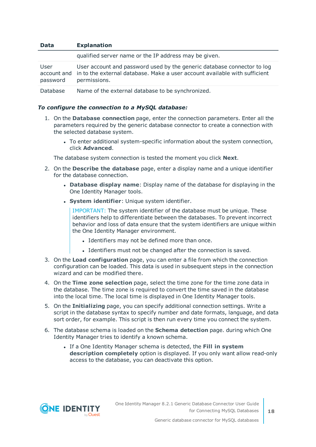| <b>Data</b>      | <b>Explanation</b>                                                                                                                                                                |
|------------------|-----------------------------------------------------------------------------------------------------------------------------------------------------------------------------------|
|                  | qualified server name or the IP address may be given.                                                                                                                             |
| User<br>password | User account and password used by the generic database connector to log<br>account and in to the external database. Make a user account available with sufficient<br>permissions. |
| Database         | Name of the external database to be synchronized.                                                                                                                                 |

#### *To configure the connection to a MySQL database:*

- 1. On the **Database connection** page, enter the connection parameters. Enter all the parameters required by the generic database connector to create a connection with the selected database system.
	- To enter additional system-specific information about the system connection, click **Advanced**.

The database system connection is tested the moment you click **Next**.

- 2. On the **Describe the database** page, enter a display name and a unique identifier for the database connection.
	- <sup>l</sup> **Database display name**: Display name of the database for displaying in the One Identity Manager tools.
	- **.** System *identifier*: Unique system identifier.

IMPORTANT: The system identifier of the database must be unique. These identifiers help to differentiate between the databases. To prevent incorrect behavior and loss of data ensure that the system identifiers are unique within the One Identity Manager environment.

- Identifiers may not be defined more than once.
- Identifiers must not be changed after the connection is saved.
- 3. On the **Load configuration** page, you can enter a file from which the connection configuration can be loaded. This data is used in subsequent steps in the connection wizard and can be modified there.
- 4. On the **Time zone selection** page, select the time zone for the time zone data in the database. The time zone is required to convert the time saved in the database into the local time. The local time is displayed in One Identity Manager tools.
- 5. On the **Initializing** page, you can specify additional connection settings. Write a script in the database syntax to specify number and date formats, language, and data sort order, for example. This script is then run every time you connect the system.
- 6. The database schema is loaded on the **Schema detection** page. during which One Identity Manager tries to identify a known schema.
	- <sup>l</sup> If a One Identity Manager schema is detected, the **Fill in system description completely** option is displayed. If you only want allow read-only access to the database, you can deactivate this option.



**18**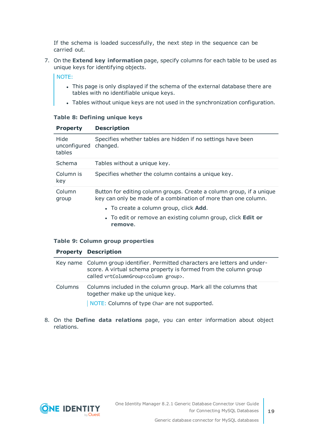If the schema is loaded successfully, the next step in the sequence can be carried out.

7. On the **Extend key information** page, specify columns for each table to be used as unique keys for identifying objects.

NOTE:

- This page is only displayed if the schema of the external database there are tables with no identifiable unique keys.
- Tables without unique keys are not used in the synchronization configuration.

#### **Table 8: Defining unique keys**

| <b>Property</b>                | <b>Description</b>                                                                                                                     |
|--------------------------------|----------------------------------------------------------------------------------------------------------------------------------------|
| Hide<br>unconfigured<br>tables | Specifies whether tables are hidden if no settings have been<br>changed.                                                               |
| Schema                         | Tables without a unique key.                                                                                                           |
| Column is<br>key               | Specifies whether the column contains a unique key.                                                                                    |
| Column<br>group                | Button for editing column groups. Create a column group, if a unique<br>key can only be made of a combination of more than one column. |
|                                | • To create a column group, click <b>Add</b> .                                                                                         |
|                                | • To edit or remove an existing column group, click <b>Edit or</b><br>remove.                                                          |

#### **Table 9: Column group properties**

#### **Property Description**

|         | Key name Column group identifier. Permitted characters are letters and under-<br>score. A virtual schema property is formed from the column group<br>called vrtColumnGroup <column group="">.</column> |
|---------|--------------------------------------------------------------------------------------------------------------------------------------------------------------------------------------------------------|
| Columns | Columns included in the column group. Mark all the columns that<br>together make up the unique key.                                                                                                    |
|         | NOTE: Columns of type Char are not supported.                                                                                                                                                          |

8. On the **Define data relations** page, you can enter information about object relations.

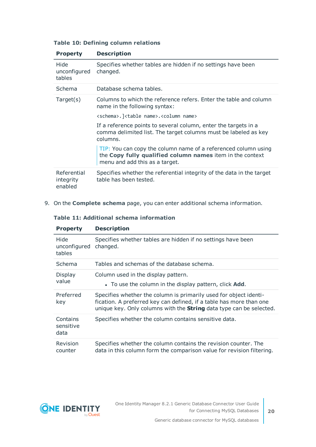| <b>Property</b>                     | <b>Description</b>                                                                                                                                            |
|-------------------------------------|---------------------------------------------------------------------------------------------------------------------------------------------------------------|
| Hide<br>unconfigured<br>tables      | Specifies whether tables are hidden if no settings have been<br>changed.                                                                                      |
| Schema                              | Database schema tables.                                                                                                                                       |
| Target(s)                           | Columns to which the reference refers. Enter the table and column<br>name in the following syntax:                                                            |
|                                     | <schema>. <table name="">.<column name=""></column></table></schema>                                                                                          |
|                                     | If a reference points to several column, enter the targets in a<br>comma delimited list. The target columns must be labeled as key<br>columns.                |
|                                     | TIP: You can copy the column name of a referenced column using<br>the Copy fully qualified column names item in the context<br>menu and add this as a target. |
| Referential<br>integrity<br>enabled | Specifies whether the referential integrity of the data in the target<br>table has been tested.                                                               |

#### **Table 10: Defining column relations**

9. On the **Complete schema** page, you can enter additional schema information.

#### **Table 11: Additional schema information**

| <b>Property</b>                | <b>Description</b>                                                                                                                                                                                                     |
|--------------------------------|------------------------------------------------------------------------------------------------------------------------------------------------------------------------------------------------------------------------|
| Hide<br>unconfigured<br>tables | Specifies whether tables are hidden if no settings have been<br>changed.                                                                                                                                               |
| Schema                         | Tables and schemas of the database schema.                                                                                                                                                                             |
| <b>Display</b><br>value        | Column used in the display pattern.<br>• To use the column in the display pattern, click <b>Add</b> .                                                                                                                  |
| Preferred<br>key               | Specifies whether the column is primarily used for object identi-<br>fication. A preferred key can defined, if a table has more than one<br>unique key. Only columns with the <b>String</b> data type can be selected. |
| Contains<br>sensitive<br>data  | Specifies whether the column contains sensitive data.                                                                                                                                                                  |
| Revision<br>counter            | Specifies whether the column contains the revision counter. The<br>data in this column form the comparison value for revision filtering.                                                                               |

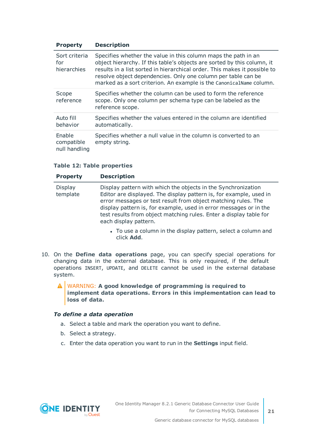| <b>Property</b>                       | <b>Description</b>                                                                                                                                                                                                                                                                                                                                             |
|---------------------------------------|----------------------------------------------------------------------------------------------------------------------------------------------------------------------------------------------------------------------------------------------------------------------------------------------------------------------------------------------------------------|
| Sort criteria<br>for<br>hierarchies   | Specifies whether the value in this column maps the path in an<br>object hierarchy. If this table's objects are sorted by this column, it<br>results in a list sorted in hierarchical order. This makes it possible to<br>resolve object dependencies. Only one column per table can be<br>marked as a sort criterion. An example is the CanonicalName column. |
| Scope<br>reference                    | Specifies whether the column can be used to form the reference<br>scope. Only one column per schema type can be labeled as the<br>reference scope.                                                                                                                                                                                                             |
| Auto fill<br>behavior                 | Specifies whether the values entered in the column are identified<br>automatically.                                                                                                                                                                                                                                                                            |
| Enable<br>compatible<br>null handling | Specifies whether a null value in the column is converted to an<br>empty string.                                                                                                                                                                                                                                                                               |

#### **Table 12: Table properties**

| <b>Property</b>     | <b>Description</b>                                                                                                                                                                                                                                                                                                                                                       |
|---------------------|--------------------------------------------------------------------------------------------------------------------------------------------------------------------------------------------------------------------------------------------------------------------------------------------------------------------------------------------------------------------------|
| Display<br>template | Display pattern with which the objects in the Synchronization<br>Editor are displayed. The display pattern is, for example, used in<br>error messages or test result from object matching rules. The<br>display pattern is, for example, used in error messages or in the<br>test results from object matching rules. Enter a display table for<br>each display pattern. |
|                     | • To use a column in the display pattern, select a column and                                                                                                                                                                                                                                                                                                            |

- 10. On the **Define data operations** page, you can specify special operations for changing data in the external database. This is only required, if the default operations INSERT, UPDATE, and DELETE cannot be used in the external database system.
	- WARNING: **A good knowledge of programming is required to implement data operations. Errors in this implementation can lead to loss of data.**

#### *To define a data operation*

a. Select a table and mark the operation you want to define.

click **Add**.

- b. Select a strategy.
- c. Enter the data operation you want to run in the **Settings** input field.

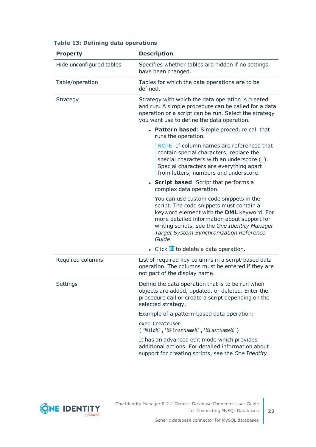| <b>Property</b>          | <b>Description</b>                                                                                                                                                                                                                                                                    |
|--------------------------|---------------------------------------------------------------------------------------------------------------------------------------------------------------------------------------------------------------------------------------------------------------------------------------|
| Hide unconfigured tables | Specifies whether tables are hidden if no settings<br>have been changed.                                                                                                                                                                                                              |
| Table/operation          | Tables for which the data operations are to be<br>defined.                                                                                                                                                                                                                            |
| Strategy                 | Strategy with which the data operation is created<br>and run. A simple procedure can be called for a data<br>operation or a script can be run. Select the strategy<br>you want use to define the data operation.                                                                      |
|                          | • Pattern based: Simple procedure call that<br>runs the operation.                                                                                                                                                                                                                    |
|                          | NOTE: If column names are referenced that<br>contain special characters, replace the<br>special characters with an underscore (_).<br>Special characters are everything apart<br>from letters, numbers and underscore.                                                                |
|                          | • Script based: Script that performs a<br>complex data operation.                                                                                                                                                                                                                     |
|                          | You can use custom code snippets in the<br>script. The code snippets must contain a<br>keyword element with the DML keyword. For<br>more detailed information about support for<br>writing scripts, see the One Identity Manager<br>Target System Synchronization Reference<br>Guide. |
|                          | $\bullet$ Click $\overline{u}$ to delete a data operation.                                                                                                                                                                                                                            |
| Required columns         | List of required key columns in a script-based data<br>operation. The columns must be entered if they are<br>not part of the display name.                                                                                                                                            |
| Settings                 | Define the data operation that is to be run when<br>objects are added, updated, or deleted. Enter the<br>procedure call or create a script depending on the<br>selected strategy.                                                                                                     |
|                          | Example of a pattern-based data operation:                                                                                                                                                                                                                                            |
|                          | exec CreateUser<br>('%Uid%','%FirstName%','%LastName%')                                                                                                                                                                                                                               |
|                          | It has an advanced edit mode which provides<br>additional actions. For detailed information about<br>support for creating scripts, see the One Identity                                                                                                                               |

#### **Table 13: Defining data operations**

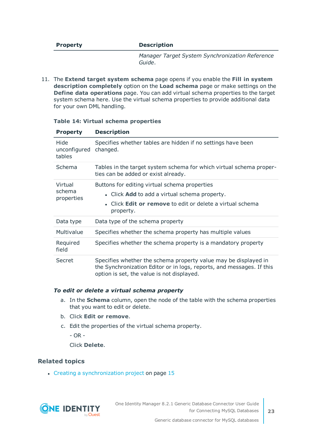#### **Property Description**

*Manager Target System Synchronization Reference Guide*.

11. The **Extend target system schema** page opens if you enable the **Fill in system description completely** option on the **Load schema** page or make settings on the **Define data operations** page. You can add virtual schema properties to the target system schema here. Use the virtual schema properties to provide additional data for your own DML handling.

| <b>Property</b>                 | <b>Description</b>                                                                                                                                                                     |
|---------------------------------|----------------------------------------------------------------------------------------------------------------------------------------------------------------------------------------|
| Hide<br>unconfigured<br>tables  | Specifies whether tables are hidden if no settings have been<br>changed.                                                                                                               |
| Schema                          | Tables in the target system schema for which virtual schema proper-<br>ties can be added or exist already.                                                                             |
| Virtual<br>schema<br>properties | Buttons for editing virtual schema properties<br>• Click Add to add a virtual schema property.<br>• Click <b>Edit or remove</b> to edit or delete a virtual schema<br>property.        |
| Data type                       | Data type of the schema property                                                                                                                                                       |
| Multivalue                      | Specifies whether the schema property has multiple values                                                                                                                              |
| Required<br>field               | Specifies whether the schema property is a mandatory property                                                                                                                          |
| Secret                          | Specifies whether the schema property value may be displayed in<br>the Synchronization Editor or in logs, reports, and messages. If this<br>option is set, the value is not displayed. |

#### **Table 14: Virtual schema properties**

#### *To edit or delete a virtual schema property*

- a. In the **Schema** column, open the node of the table with the schema properties that you want to edit or delete.
- b. Click **Edit or remove**.
- c. Edit the properties of the virtual schema property.

- OR -

Click **Delete**.

#### **Related topics**

• Creating a [synchronization](#page-14-0) project on page 15

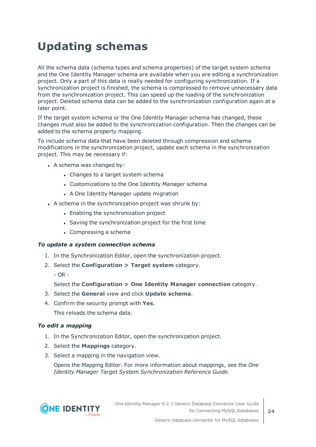# <span id="page-23-0"></span>**Updating schemas**

All the schema data (schema types and schema properties) of the target system schema and the One Identity Manager schema are available when you are editing a synchronization project. Only a part of this data is really needed for configuring synchronization. If a synchronization project is finished, the schema is compressed to remove unnecessary data from the synchronization project. This can speed up the loading of the synchronization project. Deleted schema data can be added to the synchronization configuration again at a later point.

If the target system schema or the One Identity Manager schema has changed, these changes must also be added to the synchronization configuration. Then the changes can be added to the schema property mapping.

To include schema data that have been deleted through compression and schema modifications in the synchronization project, update each schema in the synchronization project. This may be necessary if:

- $\bullet$  A schema was changed by:
	- Changes to a target system schema
	- Customizations to the One Identity Manager schema
	- A One Identity Manager update migration
- $\bullet$  A schema in the synchronization project was shrunk by:
	- Enabling the synchronization project
	- Saving the synchronization project for the first time
	- $\bullet$  Compressing a schema

#### *To update a system connection schema*

- 1. In the Synchronization Editor, open the synchronization project.
- 2. Select the **Configuration > Target system** category.
	- $-$  OR  $-$

Select the **Configuration > One Identity Manager connection** category.

- 3. Select the **General** view and click **Update schema**.
- 4. Confirm the security prompt with **Yes**.

This reloads the schema data.

#### *To edit a mapping*

- 1. In the Synchronization Editor, open the synchronization project.
- 2. Select the **Mappings** category.
- 3. Select a mapping in the navigation view.

Opens the Mapping Editor. For more information about mappings, see the *One Identity Manager Target System Synchronization Reference Guide*.

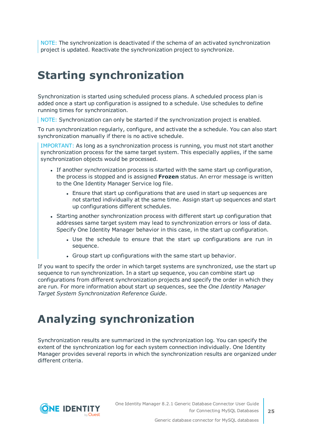NOTE: The synchronization is deactivated if the schema of an activated synchronization project is updated. Reactivate the synchronization project to synchronize.

# <span id="page-24-0"></span>**Starting synchronization**

Synchronization is started using scheduled process plans. A scheduled process plan is added once a start up configuration is assigned to a schedule. Use schedules to define running times for synchronization.

NOTE: Synchronization can only be started if the synchronization project is enabled.

To run synchronization regularly, configure, and activate the a schedule. You can also start synchronization manually if there is no active schedule.

IMPORTANT: As long as a synchronization process is running, you must not start another synchronization process for the same target system. This especially applies, if the same synchronization objects would be processed.

- If another synchronization process is started with the same start up configuration, the process is stopped and is assigned **Frozen** status. An error message is written to the One Identity Manager Service log file.
	- Ensure that start up configurations that are used in start up sequences are not started individually at the same time. Assign start up sequences and start up configurations different schedules.
- Starting another synchronization process with different start up configuration that addresses same target system may lead to synchronization errors or loss of data. Specify One Identity Manager behavior in this case, in the start up configuration.
	- Use the schedule to ensure that the start up configurations are run in sequence.
	- Group start up configurations with the same start up behavior.

If you want to specify the order in which target systems are synchronized, use the start up sequence to run synchronization. In a start up sequence, you can combine start up configurations from different synchronization projects and specify the order in which they are run. For more information about start up sequences, see the *One Identity Manager Target System Synchronization Reference Guide*.

## <span id="page-24-1"></span>**Analyzing synchronization**

Synchronization results are summarized in the synchronization log. You can specify the extent of the synchronization log for each system connection individually. One Identity Manager provides several reports in which the synchronization results are organized under different criteria.

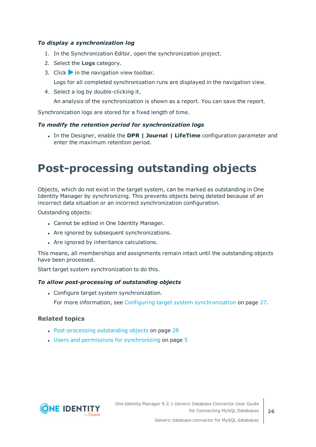#### *To display a synchronization log*

- 1. In the Synchronization Editor, open the synchronization project.
- 2. Select the **Logs** category.
- 3. Click in the navigation view toolbar.

Logs for all completed synchronization runs are displayed in the navigation view.

4. Select a log by double-clicking it.

An analysis of the synchronization is shown as a report. You can save the report.

Synchronization logs are stored for a fixed length of time.

#### *To modify the retention period for synchronization logs*

<sup>l</sup> In the Designer, enable the **DPR | Journal | LifeTime** configuration parameter and enter the maximum retention period.

## <span id="page-25-0"></span>**Post-processing outstanding objects**

Objects, which do not exist in the target system, can be marked as outstanding in One Identity Manager by synchronizing. This prevents objects being deleted because of an incorrect data situation or an incorrect synchronization configuration.

Outstanding objects:

- Cannot be edited in One Identity Manager.
- Are ignored by subsequent synchronizations.
- Are ignored by inheritance calculations.

This means, all memberships and assignments remain intact until the outstanding objects have been processed.

Start target system synchronization to do this.

#### *To allow post-processing of outstanding objects*

• Configure target system synchronization.

For more information, see Configuring target system [synchronization](#page-26-0) on page 27.

#### **Related topics**

- [Post-processing](#page-27-0) outstanding objects on page 28
- $\cdot$  Users and permissions for [synchronizing](#page-4-0) on page  $5$

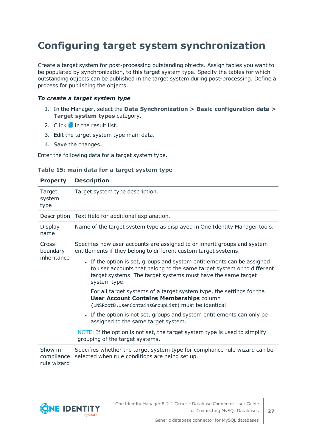### <span id="page-26-0"></span>**Configuring target system synchronization**

Create a target system for post-processing outstanding objects. Assign tables you want to be populated by synchronization, to this target system type. Specify the tables for which outstanding objects can be published in the target system during post-processing. Define a process for publishing the objects.

#### *To create a target system type*

- 1. In the Manager, select the **Data Synchronization > Basic configuration data > Target system types** category.
- 2. Click  $\frac{1}{2}$  in the result list.
- 3. Edit the target system type main data.
- 4. Save the changes.

Enter the following data for a target system type.

|  |  |  |  |  |  |  | Table 15: main data for a target system type |  |
|--|--|--|--|--|--|--|----------------------------------------------|--|
|--|--|--|--|--|--|--|----------------------------------------------|--|

| <b>Property</b>                      | <b>Description</b>                                                                                                                                                                                                               |  |  |  |
|--------------------------------------|----------------------------------------------------------------------------------------------------------------------------------------------------------------------------------------------------------------------------------|--|--|--|
| Target<br>system<br>type             | Target system type description.                                                                                                                                                                                                  |  |  |  |
|                                      | Description Text field for additional explanation.                                                                                                                                                                               |  |  |  |
| Display<br>name                      | Name of the target system type as displayed in One Identity Manager tools.                                                                                                                                                       |  |  |  |
| Cross-<br>boundary                   | Specifies how user accounts are assigned to or inherit groups and system<br>entitlements if they belong to different custom target systems.                                                                                      |  |  |  |
| inheritance                          | • If the option is set, groups and system entitlements can be assigned<br>to user accounts that belong to the same target system or to different<br>target systems. The target systems must have the same target<br>system type. |  |  |  |
|                                      | For all target systems of a target system type, the settings for the<br><b>User Account Contains Memberships column</b><br>(UNSRootB.UserContainsGroupList) must be identical.                                                   |  |  |  |
|                                      | • If the option is not set, groups and system entitlements can only be<br>assigned to the same target system.                                                                                                                    |  |  |  |
|                                      | NOTE: If the option is not set, the target system type is used to simplify<br>grouping of the target systems.                                                                                                                    |  |  |  |
| Show in<br>compliance<br>rule wizard | Specifies whether the target system type for compliance rule wizard can be<br>selected when rule conditions are being set up.                                                                                                    |  |  |  |



**27**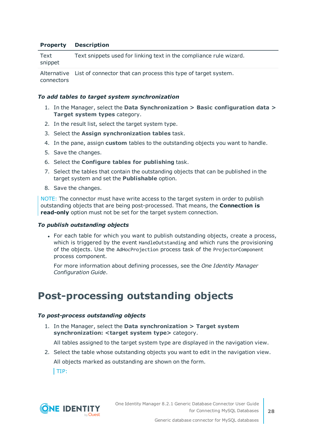#### **Property Description**

| Text<br>snippet | Text snippets used for linking text in the compliance rule wizard. |
|-----------------|--------------------------------------------------------------------|
|                 |                                                                    |

Alternative List of connector that can process this type of target system. connectors

#### *To add tables to target system synchronization*

- 1. In the Manager, select the **Data Synchronization > Basic configuration data > Target system types** category.
- 2. In the result list, select the target system type.
- 3. Select the **Assign synchronization tables** task.
- 4. In the pane, assign **custom** tables to the outstanding objects you want to handle.
- 5. Save the changes.
- 6. Select the **Configure tables for publishing** task.
- 7. Select the tables that contain the outstanding objects that can be published in the target system and set the **Publishable** option.
- 8. Save the changes.

NOTE: The connector must have write access to the target system in order to publish outstanding objects that are being post-processed. That means, the **Connection is read-only** option must not be set for the target system connection.

#### *To publish outstanding objects*

• For each table for which you want to publish outstanding objects, create a process, which is triggered by the event HandleOutstanding and which runs the provisioning of the objects. Use the AdHocProjection process task of the ProjectorComponent process component.

For more information about defining processes, see the *One Identity Manager Configuration Guide*.

### <span id="page-27-0"></span>**Post-processing outstanding objects**

#### *To post-process outstanding objects*

1. In the Manager, select the **Data synchronization > Target system synchronization: <target system type>** category.

All tables assigned to the target system type are displayed in the navigation view.

2. Select the table whose outstanding objects you want to edit in the navigation view.

All objects marked as outstanding are shown on the form.

TIP:

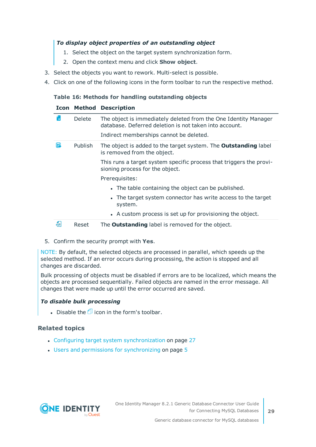#### *To display object properties of an outstanding object*

- 1. Select the object on the target system synchronization form.
- 2. Open the context menu and click **Show object**.
- 3. Select the objects you want to rework. Multi-select is possible.
- 4. Click on one of the following icons in the form toolbar to run the respective method.

#### **Table 16: Methods for handling outstanding objects**

#### **Icon Method Description**

|   | <b>Delete</b>  | The object is immediately deleted from the One Identity Manager<br>database. Deferred deletion is not taken into account. |
|---|----------------|---------------------------------------------------------------------------------------------------------------------------|
|   |                | Indirect memberships cannot be deleted.                                                                                   |
| 5 | <b>Publish</b> | The object is added to the target system. The <b>Outstanding</b> label<br>is removed from the object.                     |
|   |                | This runs a target system specific process that triggers the provi-<br>sioning process for the object.                    |
|   |                | Prerequisites:                                                                                                            |
|   |                | • The table containing the object can be published.                                                                       |
|   |                | • The target system connector has write access to the target<br>system.                                                   |
|   |                | • A custom process is set up for provisioning the object.                                                                 |
| 현 | Reset          | The <b>Outstanding</b> label is removed for the object.                                                                   |

5. Confirm the security prompt with **Yes**.

NOTE: By default, the selected objects are processed in parallel, which speeds up the selected method. If an error occurs during processing, the action is stopped and all changes are discarded.

Bulk processing of objects must be disabled if errors are to be localized, which means the objects are processed sequentially. Failed objects are named in the error message. All changes that were made up until the error occurred are saved.

#### *To disable bulk processing*

Disable the  $\overline{1}$  icon in the form's toolbar.

#### **Related topics**

- Configuring target system [synchronization](#page-26-0) on page 27
- $\cdot$  Users and permissions for [synchronizing](#page-4-0) on page  $5$

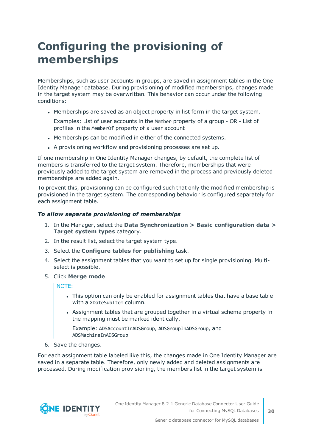# <span id="page-29-0"></span>**Configuring the provisioning of memberships**

Memberships, such as user accounts in groups, are saved in assignment tables in the One Identity Manager database. During provisioning of modified memberships, changes made in the target system may be overwritten. This behavior can occur under the following conditions:

• Memberships are saved as an object property in list form in the target system.

Examples: List of user accounts in the Member property of a group - OR - List of profiles in the MemberOf property of a user account

- Memberships can be modified in either of the connected systems.
- A provisioning workflow and provisioning processes are set up.

If one membership in One Identity Manager changes, by default, the complete list of members is transferred to the target system. Therefore, memberships that were previously added to the target system are removed in the process and previously deleted memberships are added again.

To prevent this, provisioning can be configured such that only the modified membership is provisioned in the target system. The corresponding behavior is configured separately for each assignment table.

#### *To allow separate provisioning of memberships*

- 1. In the Manager, select the **Data Synchronization > Basic configuration data > Target system types** category.
- 2. In the result list, select the target system type.
- 3. Select the **Configure tables for publishing** task.
- 4. Select the assignment tables that you want to set up for single provisioning. Multiselect is possible.
- 5. Click **Merge mode**.

NOTE:

- This option can only be enabled for assignment tables that have a base table with a XDateSubItem column.
- Assignment tables that are grouped together in a virtual schema property in the mapping must be marked identically.

Example: ADSAccountInADSGroup, ADSGroupInADSGroup, and ADSMachineInADSGroup

6. Save the changes.

For each assignment table labeled like this, the changes made in One Identity Manager are saved in a separate table. Therefore, only newly added and deleted assignments are processed. During modification provisioning, the members list in the target system is

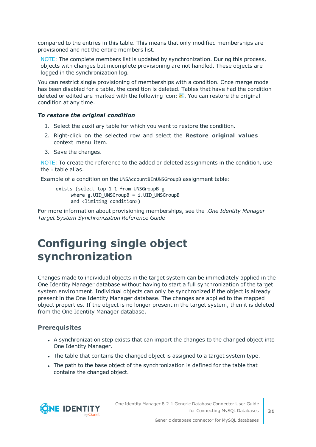compared to the entries in this table. This means that only modified memberships are provisioned and not the entire members list.

NOTE: The complete members list is updated by synchronization. During this process, objects with changes but incomplete provisioning are not handled. These objects are logged in the synchronization log.

You can restrict single provisioning of memberships with a condition. Once merge mode has been disabled for a table, the condition is deleted. Tables that have had the condition deleted or edited are marked with the following icon:  $\frac{1}{2}$ . You can restore the original condition at any time.

#### *To restore the original condition*

- 1. Select the auxiliary table for which you want to restore the condition.
- 2. Right-click on the selected row and select the **Restore original values** context menu item.
- 3. Save the changes.

NOTE: To create the reference to the added or deleted assignments in the condition, use the i table alias.

Example of a condition on the UNSAccountBInUNSGroupB assignment table:

exists (select top 1 1 from UNSGroupB g where  $g.UID$  UNSGroupB = i.UID UNSGroupB and <limiting condition>)

For more information about provisioning memberships, see the .*One Identity Manager Target System Synchronization Reference Guide*

### <span id="page-30-0"></span>**Configuring single object synchronization**

Changes made to individual objects in the target system can be immediately applied in the One Identity Manager database without having to start a full synchronization of the target system environment. Individual objects can only be synchronized if the object is already present in the One Identity Manager database. The changes are applied to the mapped object properties. If the object is no longer present in the target system, then it is deleted from the One Identity Manager database.

#### **Prerequisites**

- A synchronization step exists that can import the changes to the changed object into One Identity Manager.
- The table that contains the changed object is assigned to a target system type.
- The path to the base object of the synchronization is defined for the table that contains the changed object.



**31**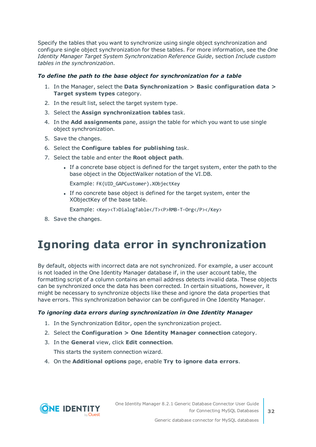Specify the tables that you want to synchronize using single object synchronization and configure single object synchronization for these tables. For more information, see the *One Identity Manager Target System Synchronization Reference Guide*, section *Include custom tables in the synchronization*.

#### *To define the path to the base object for synchronization for a table*

- 1. In the Manager, select the **Data Synchronization > Basic configuration data > Target system types** category.
- 2. In the result list, select the target system type.
- 3. Select the **Assign synchronization tables** task.
- 4. In the **Add assignments** pane, assign the table for which you want to use single object synchronization.
- 5. Save the changes.
- 6. Select the **Configure tables for publishing** task.
- 7. Select the table and enter the **Root object path**.
	- <sup>l</sup> If a concrete base object is defined for the target system, enter the path to the base object in the ObjectWalker notation of the VI.DB.

Example: FK(UID\_GAPCustomer).XObjectKey

• If no concrete base object is defined for the target system, enter the XObjectKey of the base table.

Example: <Key><T>DialogTable</T><P>RMB-T-Org</P></Key>

<span id="page-31-0"></span>8. Save the changes.

## **Ignoring data error in synchronization**

By default, objects with incorrect data are not synchronized. For example, a user account is not loaded in the One Identity Manager database if, in the user account table, the formatting script of a column contains an email address detects invalid data. These objects can be synchronized once the data has been corrected. In certain situations, however, it might be necessary to synchronize objects like these and ignore the data properties that have errors. This synchronization behavior can be configured in One Identity Manager.

#### *To ignoring data errors during synchronization in One Identity Manager*

- 1. In the Synchronization Editor, open the synchronization project.
- 2. Select the **Configuration > One Identity Manager connection** category.
- 3. In the **General** view, click **Edit connection**.

This starts the system connection wizard.

4. On the **Additional options** page, enable **Try to ignore data errors**.

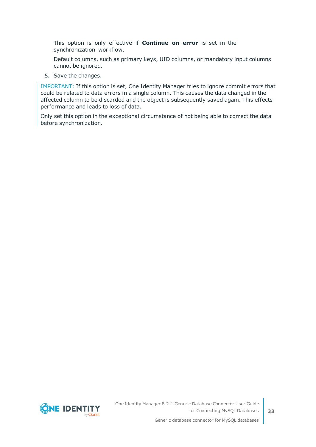This option is only effective if **Continue on error** is set in the synchronization workflow.

Default columns, such as primary keys, UID columns, or mandatory input columns cannot be ignored.

5. Save the changes.

IMPORTANT: If this option is set, One Identity Manager tries to ignore commit errors that could be related to data errors in a single column. This causes the data changed in the affected column to be discarded and the object is subsequently saved again. This effects performance and leads to loss of data.

Only set this option in the exceptional circumstance of not being able to correct the data before synchronization.

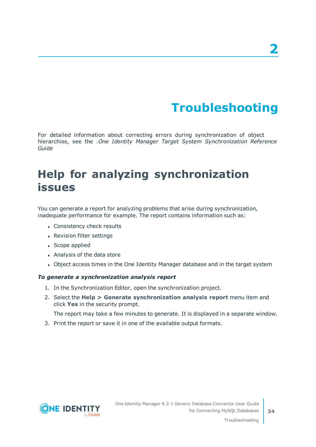# **Troubleshooting**

<span id="page-33-0"></span>For detailed information about correcting errors during synchronization of object hierarchies, see the .*One Identity Manager Target System Synchronization Reference Guide*

## <span id="page-33-1"></span>**Help for analyzing synchronization issues**

You can generate a report for analyzing problems that arise during synchronization, inadequate performance for example. The report contains information such as:

- Consistency check results
- Revision filter settings
- Scope applied
- Analysis of the data store
- Object access times in the One Identity Manager database and in the target system

#### *To generate a synchronization analysis report*

- 1. In the Synchronization Editor, open the synchronization project.
- 2. Select the **Help > Generate synchronization analysis report** menu item and click **Yes** in the security prompt.

The report may take a few minutes to generate. It is displayed in a separate window.

3. Print the report or save it in one of the available output formats.

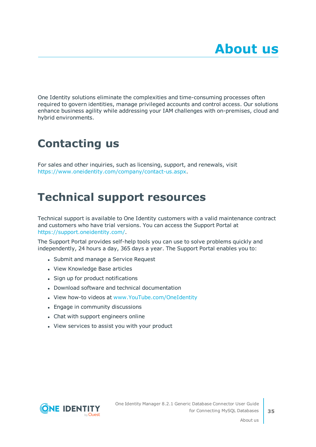<span id="page-34-0"></span>One Identity solutions eliminate the complexities and time-consuming processes often required to govern identities, manage privileged accounts and control access. Our solutions enhance business agility while addressing your IAM challenges with on-premises, cloud and hybrid environments.

# <span id="page-34-1"></span>**Contacting us**

For sales and other inquiries, such as licensing, support, and renewals, visit <https://www.oneidentity.com/company/contact-us.aspx>.

## <span id="page-34-2"></span>**Technical support resources**

Technical support is available to One Identity customers with a valid maintenance contract and customers who have trial versions. You can access the Support Portal at [https://support.oneidentity.com/.](https://support.oneidentity.com/)

The Support Portal provides self-help tools you can use to solve problems quickly and independently, 24 hours a day, 365 days a year. The Support Portal enables you to:

- Submit and manage a Service Request
- View Knowledge Base articles
- Sign up for product notifications
- Download software and technical documentation
- View how-to videos at [www.YouTube.com/OneIdentity](http://www.youtube.com/OneIdentity)
- Engage in community discussions
- Chat with support engineers online
- View services to assist you with your product

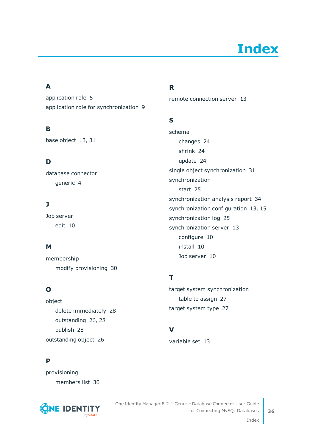# **Index**

### <span id="page-35-0"></span>**A**

application role [5](#page-4-0) application role for synchronization [9](#page-8-0)

### **B**

base object [13](#page-12-0), [31](#page-30-0)

### **D**

database connector generic [4](#page-3-0)

### **J**

Job server edit [10](#page-9-0)

### **M**

membership modify provisioning [30](#page-29-0)

### **O**

object delete immediately [28](#page-27-0) outstanding [26](#page-25-0), [28](#page-27-0) publish [28](#page-27-0) outstanding object [26](#page-25-0)

### **P**

provisioning members list [30](#page-29-0)



### **R**

remote connection server [13](#page-12-0)

### **S**

schema changes [24](#page-23-0) shrink [24](#page-23-0) update [24](#page-23-0) single object synchronization [31](#page-30-0) synchronization start [25](#page-24-0) synchronization analysis report [34](#page-33-1) synchronization configuration [13](#page-12-0), [15](#page-14-0) synchronization log [25](#page-24-1) synchronization server [13](#page-12-0) configure [10](#page-9-0) install [10](#page-9-0) Job server [10](#page-9-0)

### **T**

target system synchronization table to assign [27](#page-26-0) target system type [27](#page-26-0)

### **V**

variable set [13](#page-12-0)

Index